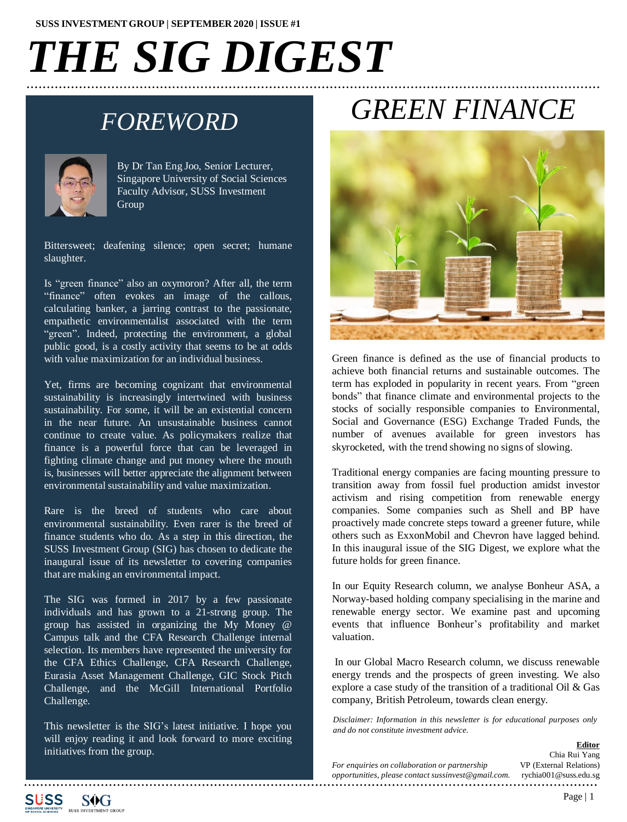# *THE SIG DIGEST*

### *FOREWORD*



By Dr Tan Eng Joo, Senior Lecturer, Singapore University of Social Sciences Faculty Advisor, SUSS Investment Group

Bittersweet; deafening silence; open secret; humane slaughter.

Is "green finance" also an oxymoron? After all, the term "finance" often evokes an image of the callous, calculating banker, a jarring contrast to the passionate, empathetic environmentalist associated with the term "green". Indeed, protecting the environment, a global public good, is a costly activity that seems to be at odds with value maximization for an individual business.

Yet, firms are becoming cognizant that environmental sustainability is increasingly intertwined with business sustainability. For some, it will be an existential concern in the near future. An unsustainable business cannot continue to create value. As policymakers realize that finance is a powerful force that can be leveraged in fighting climate change and put money where the mouth is, businesses will better appreciate the alignment between environmental sustainability and value maximization.

Rare is the breed of students who care about environmental sustainability. Even rarer is the breed of finance students who do. As a step in this direction, the SUSS Investment Group (SIG) has chosen to dedicate the inaugural issue of its newsletter to covering companies that are making an environmental impact.

The SIG was formed in 2017 by a few passionate individuals and has grown to a 21-strong group. The group has assisted in organizing the My Money @ Campus talk and the CFA Research Challenge internal selection. Its members have represented the university for the CFA Ethics Challenge, CFA Research Challenge, Eurasia Asset Management Challenge, GIC Stock Pitch Challenge, and the McGill International Portfolio Challenge.

This newsletter is the SIG's latest initiative. I hope you will enjoy reading it and look forward to more exciting initiatives from the group.

## *GREEN FINANCE*



Green finance is defined as the use of financial products to achieve both financial returns and sustainable outcomes. The term has exploded in popularity in recent years. From "green bonds" that finance climate and environmental projects to the stocks of socially responsible companies to Environmental, Social and Governance (ESG) Exchange Traded Funds, the number of avenues available for green investors has skyrocketed, with the trend showing no signs of slowing.

Traditional energy companies are facing mounting pressure to transition away from fossil fuel production amidst investor activism and rising competition from renewable energy companies. Some companies such as Shell and BP have proactively made concrete steps toward a greener future, while others such as ExxonMobil and Chevron have lagged behind. In this inaugural issue of the SIG Digest, we explore what the future holds for green finance.

In our Equity Research column, we analyse Bonheur ASA, a Norway-based holding company specialising in the marine and renewable energy sector. We examine past and upcoming events that influence Bonheur's profitability and market valuation.

In our Global Macro Research column, we discuss renewable energy trends and the prospects of green investing. We also explore a case study of the transition of a traditional Oil & Gas company, British Petroleum, towards clean energy.

*Disclaimer: Information in this newsletter is for educational purposes only and do not constitute investment advice.*

|                                                     | Chia Rui Yang           |
|-----------------------------------------------------|-------------------------|
| For enquiries on collaboration or partnership       | VP (External Relations) |
| opportunities, please contact sussinvest@gmail.com. | rychia001@suss.edu.sg   |



**Editor**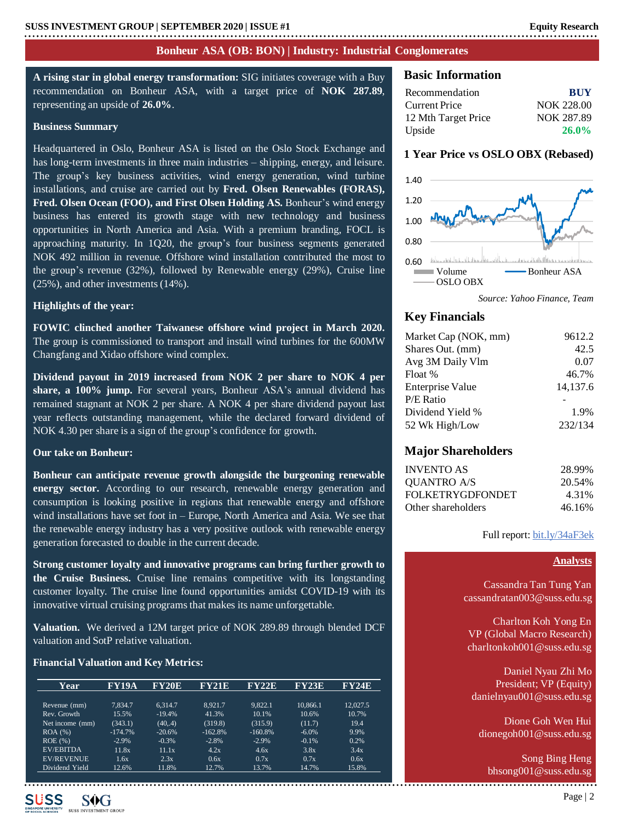#### **Bonheur ASA (OB: BON) | Industry: Industrial Conglomerates**

**A rising star in global energy transformation:** SIG initiates coverage with a Buy recommendation on Bonheur ASA, with a target price of **NOK 287.89**, representing an upside of **26.0%**.

#### **Business Summary**

Headquartered in Oslo, Bonheur ASA is listed on the Oslo Stock Exchange and has long-term investments in three main industries – shipping, energy, and leisure. The group's key business activities, wind energy generation, wind turbine installations, and cruise are carried out by **Fred. Olsen Renewables (FORAS), Fred. Olsen Ocean (FOO), and First Olsen Holding AS.** Bonheur's wind energy business has entered its growth stage with new technology and business opportunities in North America and Asia. With a premium branding, FOCL is approaching maturity. In 1Q20, the group's four business segments generated NOK 492 million in revenue. Offshore wind installation contributed the most to the group's revenue (32%), followed by Renewable energy (29%), Cruise line (25%), and other investments(14%).

#### **Highlights of the year:**

**FOWIC clinched another Taiwanese offshore wind project in March 2020.** The group is commissioned to transport and install wind turbines for the 600MW Changfang and Xidao offshore wind complex.

**Dividend payout in 2019 increased from NOK 2 per share to NOK 4 per share, a 100% jump.** For several years, Bonheur ASA's annual dividend has remained stagnant at NOK 2 per share. A NOK 4 per share dividend payout last year reflects outstanding management, while the declared forward dividend of NOK 4.30 per share is a sign of the group's confidence for growth.

#### **Our take on Bonheur:**

**Bonheur can anticipate revenue growth alongside the burgeoning renewable energy sector.** According to our research, renewable energy generation and consumption is looking positive in regions that renewable energy and offshore wind installations have set foot in – Europe, North America and Asia. We see that the renewable energy industry has a very positive outlook with renewable energy generation forecasted to double in the current decade.

**Strong customer loyalty and innovative programs can bring further growth to the Cruise Business.** Cruise line remains competitive with its longstanding customer loyalty. The cruise line found opportunities amidst COVID-19 with its innovative virtual cruising programsthat makes its name unforgettable.

**Valuation.** We derived a 12M target price of NOK 289.89 through blended DCF valuation and SotP relative valuation.

#### **Financial Valuation and Key Metrics:**

| Year              | <b>FY19A</b> | <b>FY20E</b> | FY21E     | FY22E     | FY23E    | FY24E    |
|-------------------|--------------|--------------|-----------|-----------|----------|----------|
|                   |              |              |           |           |          |          |
| Revenue (mm)      | 7.834.7      | 6.314.7      | 8.921.7   | 9.822.1   | 10.866.1 | 12.027.5 |
| Rev. Growth       | 15.5%        | $-19.4%$     | 41.3%     | 10.1%     | 10.6%    | 10.7%    |
| Net income (mm)   | (343.1)      | (40, 4)      | (319.8)   | (315.9)   | (11.7)   | 19.4     |
| ROA(%)            | $-174.7%$    | $-20.6%$     | $-162.8%$ | $-160.8%$ | $-6.0\%$ | 9.9%     |
| ROE(%)            | $-2.9%$      | $-0.3%$      | $-2.8%$   | $-2.9%$   | $-0.1%$  | 0.2%     |
| <b>EV/EBITDA</b>  | 11.8x        | 11.1x        | 4.2x      | 4.6x      | 3.8x     | 3.4x     |
| <b>EV/REVENUE</b> | 1.6x         | 2.3x         | 0.6x      | 0.7x      | 0.7x     | 0.6x     |
| Dividend Yield    | 12.6%        | 11.8%        | 12.7%     | 13.7%     | 14.7%    | 15.8%    |

#### **Basic Information**

| <b>BUY</b>        |
|-------------------|
| <b>NOK 228.00</b> |
| NOK 287.89        |
| $26.0\%$          |
|                   |

#### **1 Year Price vs OSLO OBX (Rebased)**



*Source: Yahoo Finance, Team*

#### **Key Financials**

| Market Cap (NOK, mm)    | 9612.2   |
|-------------------------|----------|
| Shares Out. (mm)        | 42.5     |
| Avg 3M Daily Vlm        | 0.07     |
| Float %                 | 46.7%    |
| <b>Enterprise Value</b> | 14,137.6 |
| P/E Ratio               |          |
| Dividend Yield %        | 1.9%     |
| 52 Wk High/Low          | 232/134  |

#### **Major Shareholders**

| <b>INVENTO AS</b>       | 28.99% |
|-------------------------|--------|
| QUANTRO A/S             | 20.54% |
| <b>FOLKETRYGDFONDET</b> | 4.31%  |
| Other shareholders      | 46.16% |

#### Full report: [bit.ly/34aF3ek](https://bit.ly/34aF3ek)

#### **Analysts**

Cassandra Tan Tung Yan cassandratan003@suss.edu.sg

Charlton Koh Yong En VP (Global Macro Research) charltonkoh001@suss.edu.sg

Daniel Nyau Zhi Mo President; VP (Equity) danielnyau001@suss.edu.sg

Dione Goh Wen Hui dionegoh001@suss.edu.sg

Song Bing Heng bhsong001@suss.edu.sg



**SOG**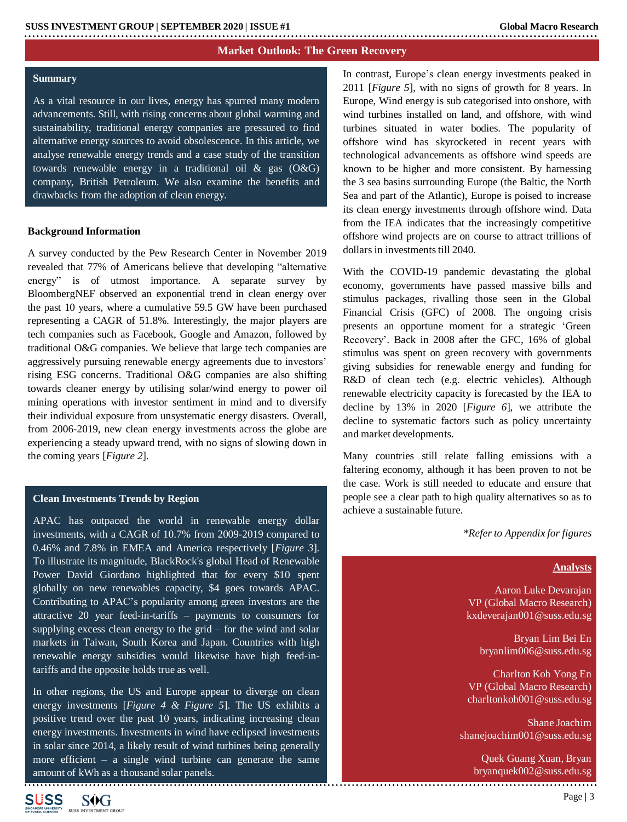#### **Market Outlook: The Green Recovery**

#### **Summary**

As a vital resource in our lives, energy has spurred many modern advancements. Still, with rising concerns about global warming and sustainability, traditional energy companies are pressured to find alternative energy sources to avoid obsolescence. In this article, we analyse renewable energy trends and a case study of the transition towards renewable energy in a traditional oil  $\&$  gas (O&G) company, British Petroleum. We also examine the benefits and drawbacks from the adoption of clean energy.

#### **Background Information**

A survey conducted by the Pew Research Center in November 2019 revealed that 77% of Americans believe that developing "alternative energy" is of utmost importance. A separate survey by BloombergNEF observed an exponential trend in clean energy over the past 10 years, where a cumulative 59.5 GW have been purchased representing a CAGR of 51.8%. Interestingly, the major players are tech companies such as Facebook, Google and Amazon, followed by traditional O&G companies. We believe that large tech companies are aggressively pursuing renewable energy agreements due to investors' rising ESG concerns. Traditional O&G companies are also shifting towards cleaner energy by utilising solar/wind energy to power oil mining operations with investor sentiment in mind and to diversify their individual exposure from unsystematic energy disasters. Overall, from 2006-2019, new clean energy investments across the globe are experiencing a steady upward trend, with no signs of slowing down in the coming years [*Figure 2*].

#### **Clean Investments Trends by Region**

APAC has outpaced the world in renewable energy dollar investments, with a CAGR of 10.7% from 2009-2019 compared to 0.46% and 7.8% in EMEA and America respectively [*Figure 3*]. To illustrate its magnitude, BlackRock's global Head of Renewable Power David Giordano highlighted that for every \$10 spent globally on new renewables capacity, \$4 goes towards APAC. Contributing to APAC's popularity among green investors are the attractive 20 year feed-in-tariffs – payments to consumers for supplying excess clean energy to the grid  $-$  for the wind and solar markets in Taiwan, South Korea and Japan. Countries with high renewable energy subsidies would likewise have high feed-intariffs and the opposite holds true as well.

In other regions, the US and Europe appear to diverge on clean energy investments [*Figure 4 & Figure 5*]. The US exhibits a positive trend over the past 10 years, indicating increasing clean energy investments. Investments in wind have eclipsed investments in solar since 2014, a likely result of wind turbines being generally more efficient – a single wind turbine can generate the same amount of kWh as a thousand solar panels.

In contrast, Europe's clean energy investments peaked in 2011 [*Figure 5*], with no signs of growth for 8 years. In Europe, Wind energy is sub categorised into onshore, with wind turbines installed on land, and offshore, with wind turbines situated in water bodies. The popularity of offshore wind has skyrocketed in recent years with technological advancements as offshore wind speeds are known to be higher and more consistent. By harnessing the 3 sea basins surrounding Europe (the Baltic, the North Sea and part of the Atlantic), Europe is poised to increase its clean energy investments through offshore wind. Data from the IEA indicates that the increasingly competitive offshore wind projects are on course to attract trillions of dollars in investments till 2040.

With the COVID-19 pandemic devastating the global economy, governments have passed massive bills and stimulus packages, rivalling those seen in the Global Financial Crisis (GFC) of 2008. The ongoing crisis presents an opportune moment for a strategic 'Green Recovery'. Back in 2008 after the GFC, 16% of global stimulus was spent on green recovery with governments giving subsidies for renewable energy and funding for R&D of clean tech (e.g. electric vehicles). Although renewable electricity capacity is forecasted by the IEA to decline by 13% in 2020 [*Figure 6*], we attribute the decline to systematic factors such as policy uncertainty and market developments.

Many countries still relate falling emissions with a faltering economy, although it has been proven to not be the case. Work is still needed to educate and ensure that people see a clear path to high quality alternatives so as to achieve a sustainable future.

*\*Refer to Appendix for figures*

#### **Analysts**

Aaron Luke Devarajan VP (Global Macro Research) kxdeverajan001@suss.edu.sg

> Bryan Lim Bei En bryanlim006@suss.edu.sg

Charlton Koh Yong En VP (Global Macro Research) charltonkoh001@suss.edu.sg

Shane Joachim shanejoachim001@suss.edu.sg

> Quek Guang Xuan, Bryan bryanquek002@suss.edu.sg

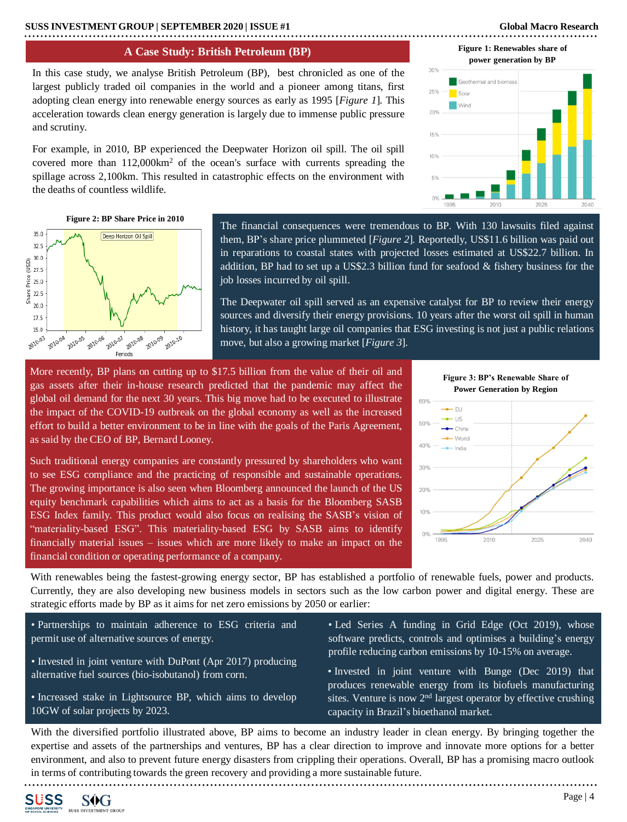#### **A Case Study: British Petroleum (BP)**

In this case study, we analyse British Petroleum (BP), best chronicled as one of the largest publicly traded oil companies in the world and a pioneer among titans, first adopting clean energy into renewable energy sources as early as 1995 [*Figure 1*]*.* This acceleration towards clean energy generation is largely due to immense public pressure and scrutiny.

For example, in 2010, BP experienced the Deepwater Horizon oil spill. The oil spill covered more than  $112,000 \text{km}^2$  of the ocean's surface with currents spreading the spillage across 2,100km. This resulted in catastrophic effects on the environment with the deaths of countless wildlife.

### 159 10%





**Figure 1: Renewables share of** 

**Figure 2: BP Share Price in 2010** 



The financial consequences were tremendous to BP. With 130 lawsuits filed against them, BP's share price plummeted [*Figure 2*]*.* Reportedly, US\$11.6 billion was paid out in reparations to coastal states with projected losses estimated at US\$22.7 billion. In addition, BP had to set up a US\$2.3 billion fund for seafood & fishery business for the job losses incurred by oil spill.

The Deepwater oil spill served as an expensive catalyst for BP to review their energy sources and diversify their energy provisions. 10 years after the worst oil spill in human history, it has taught large oil companies that ESG investing is not just a public relations move, but also a growing market [*Figure 3*]*.*

More recently, BP plans on cutting up to \$17.5 billion from the value of their oil and gas assets after their in-house research predicted that the pandemic may affect the global oil demand for the next 30 years. This big move had to be executed to illustrate the impact of the COVID-19 outbreak on the global economy as well as the increased effort to build a better environment to be in line with the goals of the Paris Agreement, as said by the CEO of BP, Bernard Looney.

Such traditional energy companies are constantly pressured by shareholders who want to see ESG compliance and the practicing of responsible and sustainable operations. The growing importance is also seen when Bloomberg announced the launch of the US equity benchmark capabilities which aims to act as a basis for the Bloomberg SASB ESG Index family. This product would also focus on realising the SASB's vision of "materiality-based ESG". This materiality-based ESG by SASB aims to identify financially material issues – issues which are more likely to make an impact on the financial condition or operating performance of a company.



With renewables being the fastest-growing energy sector, BP has established a portfolio of renewable fuels, power and products. Currently, they are also developing new business models in sectors such as the low carbon power and digital energy. These are strategic efforts made by BP as it aims for net zero emissions by 2050 or earlier:

- Partnerships to maintain adherence to ESG criteria and permit use of alternative sources of energy.
- Invested in joint venture with DuPont (Apr 2017) producing alternative fuel sources (bio-isobutanol) from corn.
- Increased stake in Lightsource BP, which aims to develop 10GW of solar projects by 2023.
- Led Series A funding in Grid Edge (Oct 2019), whose software predicts, controls and optimises a building's energy profile reducing carbon emissions by 10-15% on average.
- Invested in joint venture with Bunge (Dec 2019) that produces renewable energy from its biofuels manufacturing sites. Venture is now  $2<sup>nd</sup>$  largest operator by effective crushing capacity in Brazil's bioethanol market.

With the diversified portfolio illustrated above, BP aims to become an industry leader in clean energy. By bringing together the expertise and assets of the partnerships and ventures, BP has a clear direction to improve and innovate more options for a better environment, and also to prevent future energy disasters from crippling their operations. Overall, BP has a promising macro outlook in terms of contributing towards the green recovery and providing a more sustainable future.

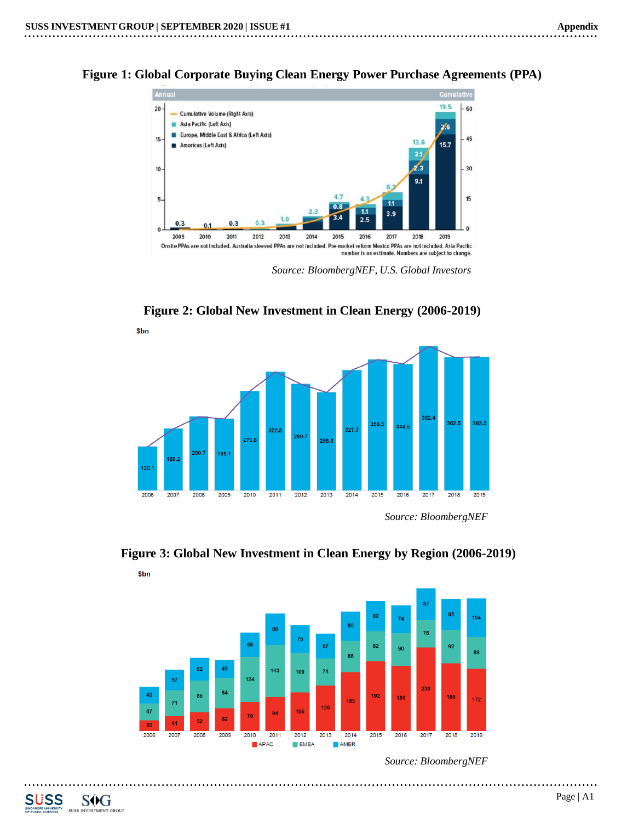**Figure 1: Global Corporate Buying Clean Energy Power Purchase Agreements (PPA)**



*Source: BloombergNEF, U.S. Global Investors*

**Figure 2: Global New Investment in Clean Energy (2006-2019)**





................

**Figure 3: Global New Investment in Clean Energy by Region (2006-2019)**  $$bn$ 

*Source: BloombergNEF*



. . . .